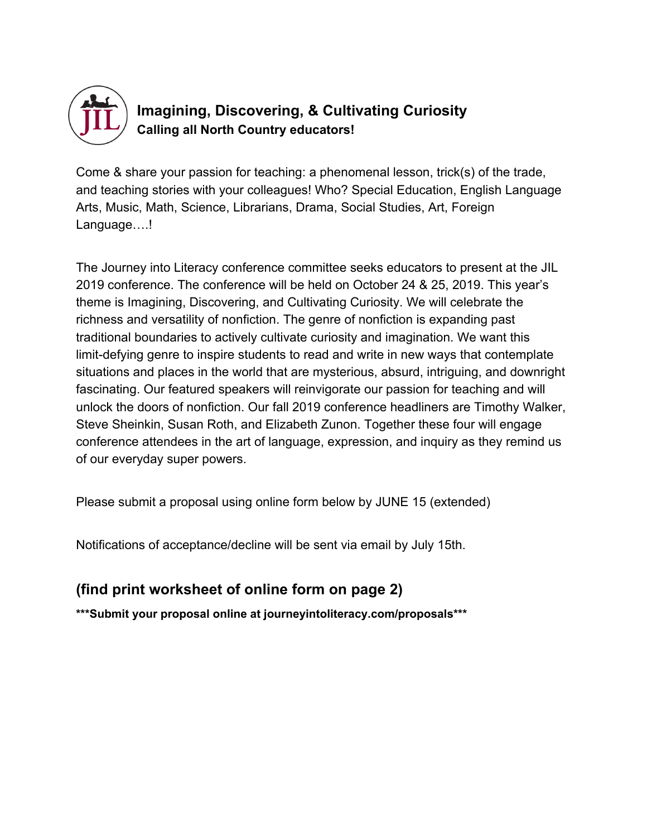

## **Imagining, Discovering, & Cultivating Curiosity Calling all North Country educators!**

Come & share your passion for teaching: a phenomenal lesson, trick(s) of the trade, and teaching stories with your colleagues! Who? Special Education, English Language Arts, Music, Math, Science, Librarians, Drama, Social Studies, Art, Foreign Language...!

The Journey into Literacy conference committee seeks educators to present at the JIL 2019 conference. The conference will be held on October 24 & 25, 2019. This year's theme is Imagining, Discovering, and Cultivating Curiosity. We will celebrate the richness and versatility of nonfiction. The genre of nonfiction is expanding past traditional boundaries to actively cultivate curiosity and imagination. We want this limit-defying genre to inspire students to read and write in new ways that contemplate situations and places in the world that are mysterious, absurd, intriguing, and downright fascinating. Our featured speakers will reinvigorate our passion for teaching and will unlock the doors of nonfiction. Our fall 2019 conference headliners are Timothy Walker, Steve Sheinkin, Susan Roth, and Elizabeth Zunon. Together these four will engage conference attendees in the art of language, expression, and inquiry as they remind us of our everyday super powers.

Please submit a proposal using online form below by JUNE 15 (extended)

Notifications of acceptance/decline will be sent via email by July 15th.

## **(find print worksheet of online form on page 2)**

**\*\*\*Submit your proposal online at journeyintoliteracy.com/proposals\*\*\***